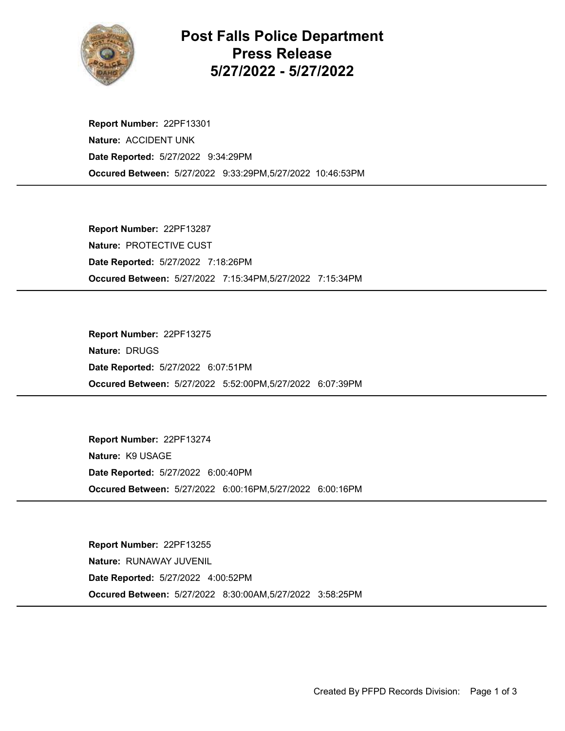

Post Falls Police Department Press Release 5/27/2022 - 5/27/2022

Occured Between: 5/27/2022 9:33:29PM,5/27/2022 10:46:53PM Report Number: 22PF13301 Nature: ACCIDENT UNK Date Reported: 5/27/2022 9:34:29PM

Occured Between: 5/27/2022 7:15:34PM,5/27/2022 7:15:34PM Report Number: 22PF13287 Nature: PROTECTIVE CUST Date Reported: 5/27/2022 7:18:26PM

Occured Between: 5/27/2022 5:52:00PM,5/27/2022 6:07:39PM Report Number: 22PF13275 Nature: DRUGS Date Reported: 5/27/2022 6:07:51PM

Occured Between: 5/27/2022 6:00:16PM,5/27/2022 6:00:16PM Report Number: 22PF13274 Nature: K9 USAGE Date Reported: 5/27/2022 6:00:40PM

Occured Between: 5/27/2022 8:30:00AM,5/27/2022 3:58:25PM Report Number: 22PF13255 Nature: RUNAWAY JUVENIL Date Reported: 5/27/2022 4:00:52PM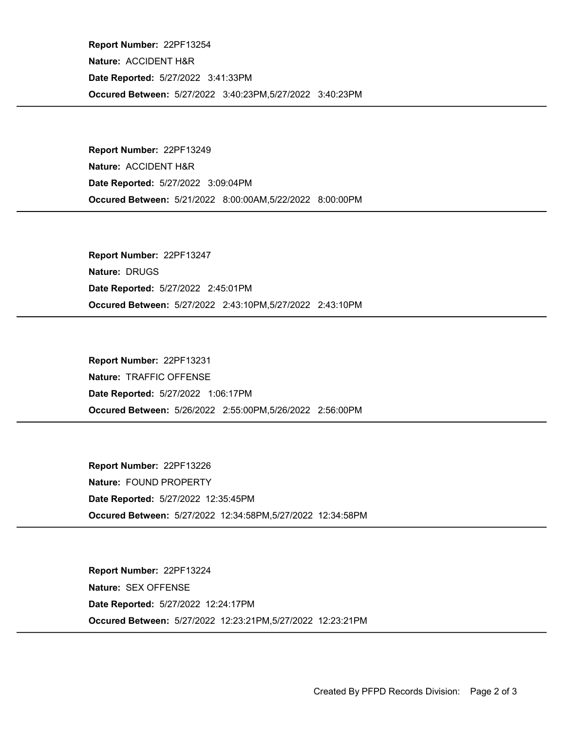Occured Between: 5/27/2022 3:40:23PM,5/27/2022 3:40:23PM Report Number: 22PF13254 Nature: ACCIDENT H&R Date Reported: 5/27/2022 3:41:33PM

Occured Between: 5/21/2022 8:00:00AM,5/22/2022 8:00:00PM Report Number: 22PF13249 Nature: ACCIDENT H&R Date Reported: 5/27/2022 3:09:04PM

Occured Between: 5/27/2022 2:43:10PM,5/27/2022 2:43:10PM Report Number: 22PF13247 Nature: DRUGS Date Reported: 5/27/2022 2:45:01PM

Occured Between: 5/26/2022 2:55:00PM,5/26/2022 2:56:00PM Report Number: 22PF13231 Nature: TRAFFIC OFFENSE Date Reported: 5/27/2022 1:06:17PM

Occured Between: 5/27/2022 12:34:58PM,5/27/2022 12:34:58PM Report Number: 22PF13226 Nature: FOUND PROPERTY Date Reported: 5/27/2022 12:35:45PM

Occured Between: 5/27/2022 12:23:21PM,5/27/2022 12:23:21PM Report Number: 22PF13224 Nature: SEX OFFENSE Date Reported: 5/27/2022 12:24:17PM